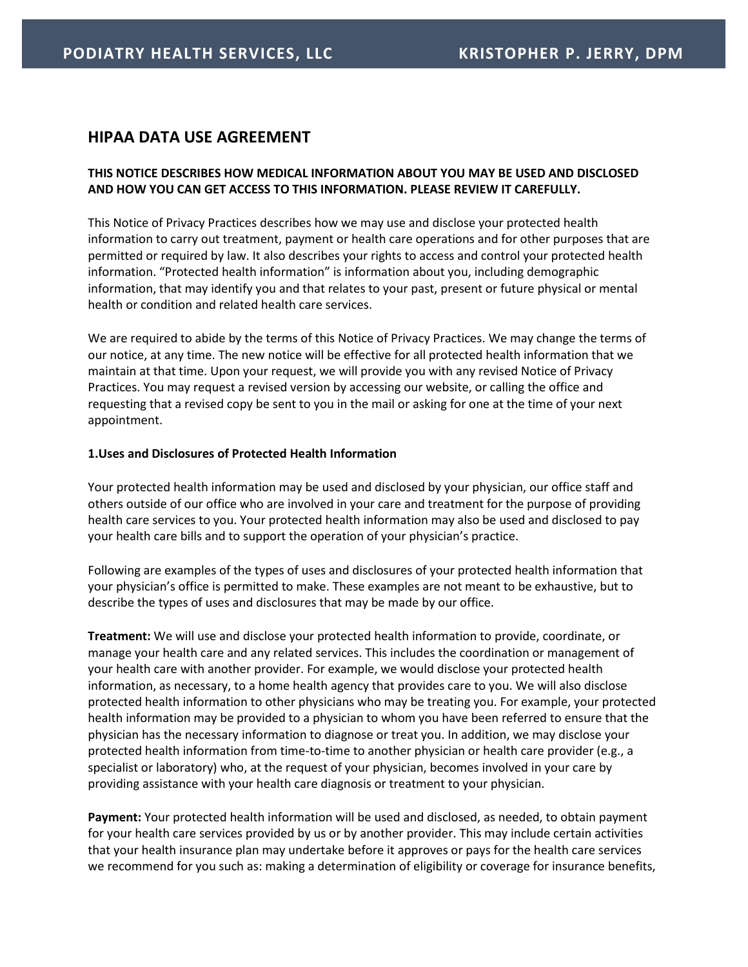# **HIPAA DATA USE AGREEMENT**

# **THIS NOTICE DESCRIBES HOW MEDICAL INFORMATION ABOUT YOU MAY BE USED AND DISCLOSED AND HOW YOU CAN GET ACCESS TO THIS INFORMATION. PLEASE REVIEW IT CAREFULLY.**

This Notice of Privacy Practices describes how we may use and disclose your protected health information to carry out treatment, payment or health care operations and for other purposes that are permitted or required by law. It also describes your rights to access and control your protected health information. "Protected health information" is information about you, including demographic information, that may identify you and that relates to your past, present or future physical or mental health or condition and related health care services.

We are required to abide by the terms of this Notice of Privacy Practices. We may change the terms of our notice, at any time. The new notice will be effective for all protected health information that we maintain at that time. Upon your request, we will provide you with any revised Notice of Privacy Practices. You may request a revised version by accessing our website, or calling the office and requesting that a revised copy be sent to you in the mail or asking for one at the time of your next appointment.

#### **1.Uses and Disclosures of Protected Health Information**

Your protected health information may be used and disclosed by your physician, our office staff and others outside of our office who are involved in your care and treatment for the purpose of providing health care services to you. Your protected health information may also be used and disclosed to pay your health care bills and to support the operation of your physician's practice.

Following are examples of the types of uses and disclosures of your protected health information that your physician's office is permitted to make. These examples are not meant to be exhaustive, but to describe the types of uses and disclosures that may be made by our office.

**Treatment:** We will use and disclose your protected health information to provide, coordinate, or manage your health care and any related services. This includes the coordination or management of your health care with another provider. For example, we would disclose your protected health information, as necessary, to a home health agency that provides care to you. We will also disclose protected health information to other physicians who may be treating you. For example, your protected health information may be provided to a physician to whom you have been referred to ensure that the physician has the necessary information to diagnose or treat you. In addition, we may disclose your protected health information from time-to-time to another physician or health care provider (e.g., a specialist or laboratory) who, at the request of your physician, becomes involved in your care by providing assistance with your health care diagnosis or treatment to your physician.

**Payment:** Your protected health information will be used and disclosed, as needed, to obtain payment for your health care services provided by us or by another provider. This may include certain activities that your health insurance plan may undertake before it approves or pays for the health care services we recommend for you such as: making a determination of eligibility or coverage for insurance benefits,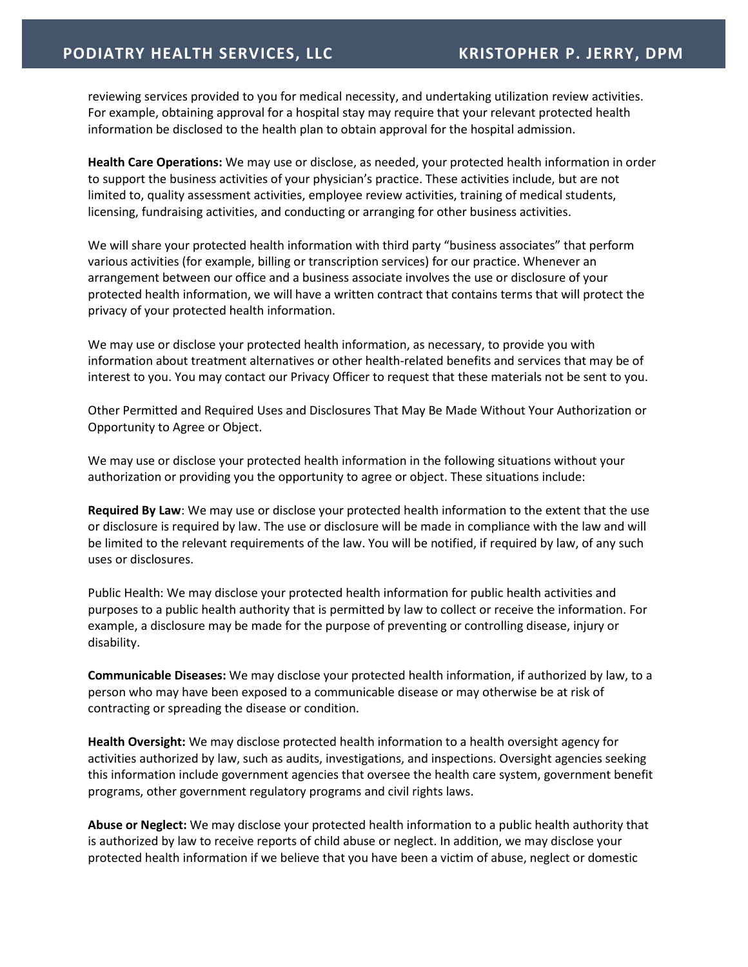reviewing services provided to you for medical necessity, and undertaking utilization review activities. For example, obtaining approval for a hospital stay may require that your relevant protected health information be disclosed to the health plan to obtain approval for the hospital admission.

**Health Care Operations:** We may use or disclose, as needed, your protected health information in order to support the business activities of your physician's practice. These activities include, but are not limited to, quality assessment activities, employee review activities, training of medical students, licensing, fundraising activities, and conducting or arranging for other business activities.

We will share your protected health information with third party "business associates" that perform various activities (for example, billing or transcription services) for our practice. Whenever an arrangement between our office and a business associate involves the use or disclosure of your protected health information, we will have a written contract that contains terms that will protect the privacy of your protected health information.

We may use or disclose your protected health information, as necessary, to provide you with information about treatment alternatives or other health-related benefits and services that may be of interest to you. You may contact our Privacy Officer to request that these materials not be sent to you.

Other Permitted and Required Uses and Disclosures That May Be Made Without Your Authorization or Opportunity to Agree or Object.

We may use or disclose your protected health information in the following situations without your authorization or providing you the opportunity to agree or object. These situations include:

**Required By Law**: We may use or disclose your protected health information to the extent that the use or disclosure is required by law. The use or disclosure will be made in compliance with the law and will be limited to the relevant requirements of the law. You will be notified, if required by law, of any such uses or disclosures.

Public Health: We may disclose your protected health information for public health activities and purposes to a public health authority that is permitted by law to collect or receive the information. For example, a disclosure may be made for the purpose of preventing or controlling disease, injury or disability.

**Communicable Diseases:** We may disclose your protected health information, if authorized by law, to a person who may have been exposed to a communicable disease or may otherwise be at risk of contracting or spreading the disease or condition.

**Health Oversight:** We may disclose protected health information to a health oversight agency for activities authorized by law, such as audits, investigations, and inspections. Oversight agencies seeking this information include government agencies that oversee the health care system, government benefit programs, other government regulatory programs and civil rights laws.

**Abuse or Neglect:** We may disclose your protected health information to a public health authority that is authorized by law to receive reports of child abuse or neglect. In addition, we may disclose your protected health information if we believe that you have been a victim of abuse, neglect or domestic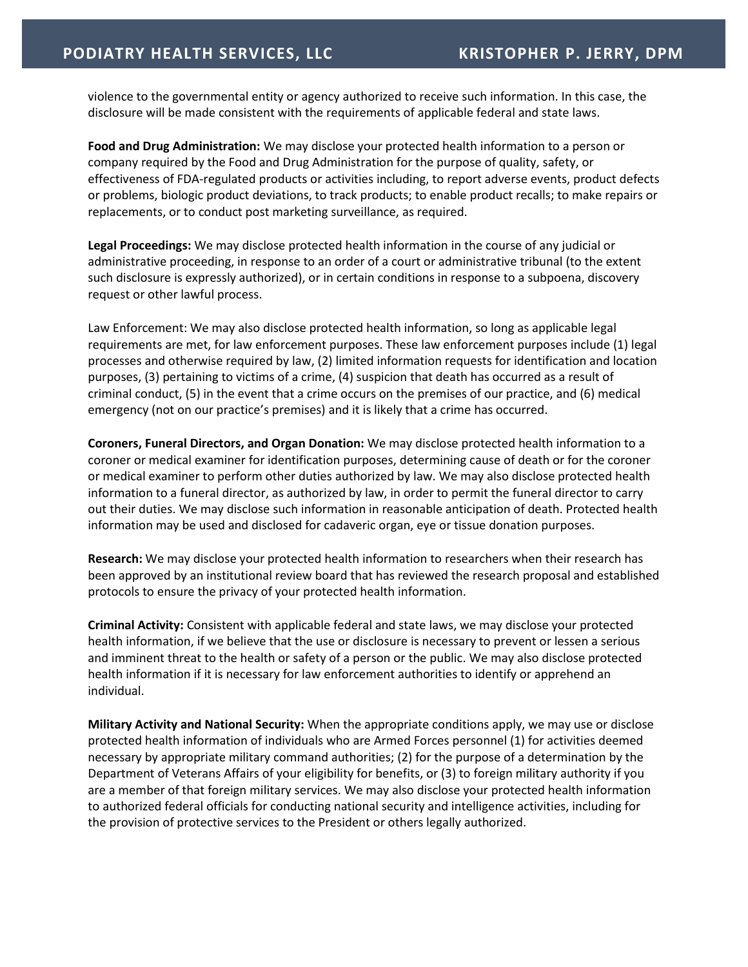violence to the governmental entity or agency authorized to receive such information. In this case, the disclosure will be made consistent with the requirements of applicable federal and state laws.

**Food and Drug Administration:** We may disclose your protected health information to a person or company required by the Food and Drug Administration for the purpose of quality, safety, or effectiveness of FDA-regulated products or activities including, to report adverse events, product defects or problems, biologic product deviations, to track products; to enable product recalls; to make repairs or replacements, or to conduct post marketing surveillance, as required.

**Legal Proceedings:** We may disclose protected health information in the course of any judicial or administrative proceeding, in response to an order of a court or administrative tribunal (to the extent such disclosure is expressly authorized), or in certain conditions in response to a subpoena, discovery request or other lawful process.

Law Enforcement: We may also disclose protected health information, so long as applicable legal requirements are met, for law enforcement purposes. These law enforcement purposes include (1) legal processes and otherwise required by law, (2) limited information requests for identification and location purposes, (3) pertaining to victims of a crime, (4) suspicion that death has occurred as a result of criminal conduct, (5) in the event that a crime occurs on the premises of our practice, and (6) medical emergency (not on our practice's premises) and it is likely that a crime has occurred.

**Coroners, Funeral Directors, and Organ Donation:** We may disclose protected health information to a coroner or medical examiner for identification purposes, determining cause of death or for the coroner or medical examiner to perform other duties authorized by law. We may also disclose protected health information to a funeral director, as authorized by law, in order to permit the funeral director to carry out their duties. We may disclose such information in reasonable anticipation of death. Protected health information may be used and disclosed for cadaveric organ, eye or tissue donation purposes.

**Research:** We may disclose your protected health information to researchers when their research has been approved by an institutional review board that has reviewed the research proposal and established protocols to ensure the privacy of your protected health information.

**Criminal Activity:** Consistent with applicable federal and state laws, we may disclose your protected health information, if we believe that the use or disclosure is necessary to prevent or lessen a serious and imminent threat to the health or safety of a person or the public. We may also disclose protected health information if it is necessary for law enforcement authorities to identify or apprehend an individual.

**Military Activity and National Security:** When the appropriate conditions apply, we may use or disclose protected health information of individuals who are Armed Forces personnel (1) for activities deemed necessary by appropriate military command authorities; (2) for the purpose of a determination by the Department of Veterans Affairs of your eligibility for benefits, or (3) to foreign military authority if you are a member of that foreign military services. We may also disclose your protected health information to authorized federal officials for conducting national security and intelligence activities, including for the provision of protective services to the President or others legally authorized.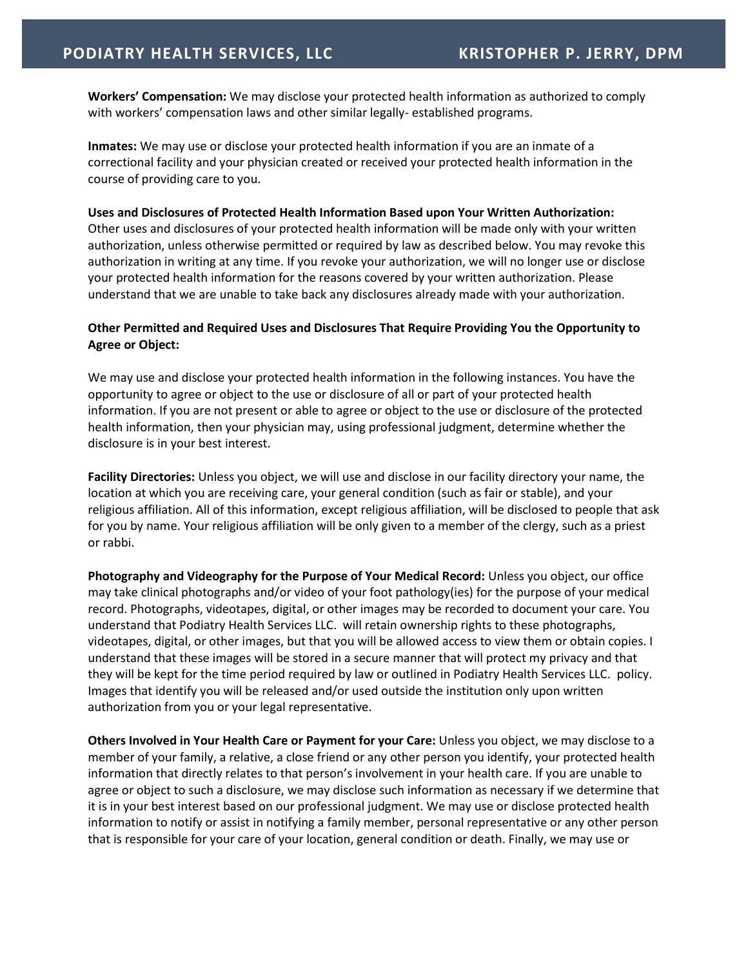**Workers' Compensation:** We may disclose your protected health information as authorized to comply with workers' compensation laws and other similar legally- established programs.

**Inmates:** We may use or disclose your protected health information if you are an inmate of a correctional facility and your physician created or received your protected health information in the course of providing care to you.

#### **Uses and Disclosures of Protected Health Information Based upon Your Written Authorization:**

Other uses and disclosures of your protected health information will be made only with your written authorization, unless otherwise permitted or required by law as described below. You may revoke this authorization in writing at any time. If you revoke your authorization, we will no longer use or disclose your protected health information for the reasons covered by your written authorization. Please understand that we are unable to take back any disclosures already made with your authorization.

## **Other Permitted and Required Uses and Disclosures That Require Providing You the Opportunity to Agree or Object:**

We may use and disclose your protected health information in the following instances. You have the opportunity to agree or object to the use or disclosure of all or part of your protected health information. If you are not present or able to agree or object to the use or disclosure of the protected health information, then your physician may, using professional judgment, determine whether the disclosure is in your best interest.

**Facility Directories:** Unless you object, we will use and disclose in our facility directory your name, the location at which you are receiving care, your general condition (such as fair or stable), and your religious affiliation. All of this information, except religious affiliation, will be disclosed to people that ask for you by name. Your religious affiliation will be only given to a member of the clergy, such as a priest or rabbi.

**Photography and Videography for the Purpose of Your Medical Record:** Unless you object, our office may take clinical photographs and/or video of your foot pathology(ies) for the purpose of your medical record. Photographs, videotapes, digital, or other images may be recorded to document your care. You understand that Podiatry Health Services LLC. will retain ownership rights to these photographs, videotapes, digital, or other images, but that you will be allowed access to view them or obtain copies. I understand that these images will be stored in a secure manner that will protect my privacy and that they will be kept for the time period required by law or outlined in Podiatry Health Services LLC. policy. Images that identify you will be released and/or used outside the institution only upon written authorization from you or your legal representative.

**Others Involved in Your Health Care or Payment for your Care:** Unless you object, we may disclose to a member of your family, a relative, a close friend or any other person you identify, your protected health information that directly relates to that person's involvement in your health care. If you are unable to agree or object to such a disclosure, we may disclose such information as necessary if we determine that it is in your best interest based on our professional judgment. We may use or disclose protected health information to notify or assist in notifying a family member, personal representative or any other person that is responsible for your care of your location, general condition or death. Finally, we may use or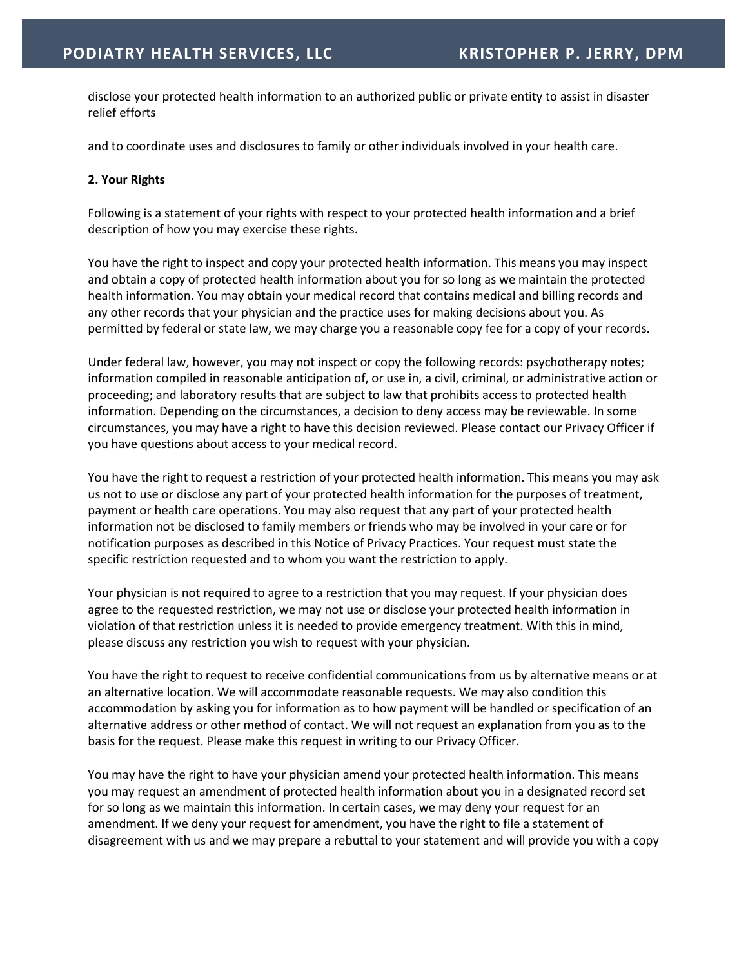disclose your protected health information to an authorized public or private entity to assist in disaster relief efforts

and to coordinate uses and disclosures to family or other individuals involved in your health care.

### **2. Your Rights**

Following is a statement of your rights with respect to your protected health information and a brief description of how you may exercise these rights.

You have the right to inspect and copy your protected health information. This means you may inspect and obtain a copy of protected health information about you for so long as we maintain the protected health information. You may obtain your medical record that contains medical and billing records and any other records that your physician and the practice uses for making decisions about you. As permitted by federal or state law, we may charge you a reasonable copy fee for a copy of your records.

Under federal law, however, you may not inspect or copy the following records: psychotherapy notes; information compiled in reasonable anticipation of, or use in, a civil, criminal, or administrative action or proceeding; and laboratory results that are subject to law that prohibits access to protected health information. Depending on the circumstances, a decision to deny access may be reviewable. In some circumstances, you may have a right to have this decision reviewed. Please contact our Privacy Officer if you have questions about access to your medical record.

You have the right to request a restriction of your protected health information. This means you may ask us not to use or disclose any part of your protected health information for the purposes of treatment, payment or health care operations. You may also request that any part of your protected health information not be disclosed to family members or friends who may be involved in your care or for notification purposes as described in this Notice of Privacy Practices. Your request must state the specific restriction requested and to whom you want the restriction to apply.

Your physician is not required to agree to a restriction that you may request. If your physician does agree to the requested restriction, we may not use or disclose your protected health information in violation of that restriction unless it is needed to provide emergency treatment. With this in mind, please discuss any restriction you wish to request with your physician.

You have the right to request to receive confidential communications from us by alternative means or at an alternative location. We will accommodate reasonable requests. We may also condition this accommodation by asking you for information as to how payment will be handled or specification of an alternative address or other method of contact. We will not request an explanation from you as to the basis for the request. Please make this request in writing to our Privacy Officer.

You may have the right to have your physician amend your protected health information. This means you may request an amendment of protected health information about you in a designated record set for so long as we maintain this information. In certain cases, we may deny your request for an amendment. If we deny your request for amendment, you have the right to file a statement of disagreement with us and we may prepare a rebuttal to your statement and will provide you with a copy